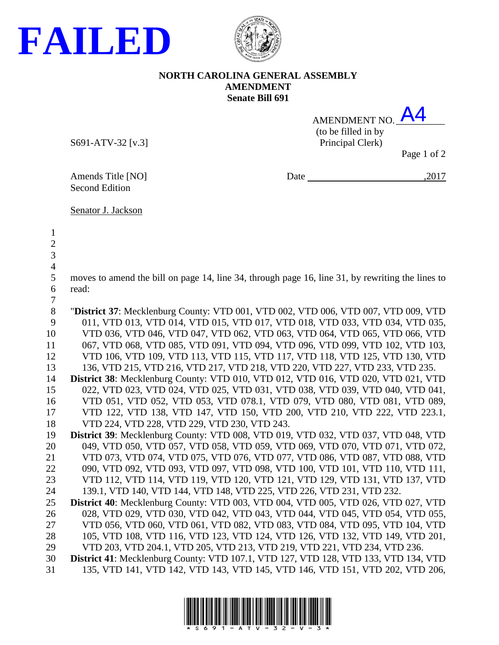



## **NORTH CAROLINA GENERAL ASSEMBLY AMENDMENT Senate Bill 691 FAILED**<br>NORTH CAROLINA GENERAL ASSEMBLY<br>Senate Bill 691<br>AMENDMENT NO. A4

| AMENDMENT NO.       | <b>A4</b> |
|---------------------|-----------|
| (to be filled in by |           |
| Principal Clerk)    |           |

S691-ATV-32 [v.3]

Page 1 of 2

Amends Title [NO] Date , 2017

Second Edition

Senator J. Jackson

 moves to amend the bill on page 14, line 34, through page 16, line 31, by rewriting the lines to read: "**District 37**: Mecklenburg County: VTD 001, VTD 002, VTD 006, VTD 007, VTD 009, VTD 011, VTD 013, VTD 014, VTD 015, VTD 017, VTD 018, VTD 033, VTD 034, VTD 035, VTD 036, VTD 046, VTD 047, VTD 062, VTD 063, VTD 064, VTD 065, VTD 066, VTD 067, VTD 068, VTD 085, VTD 091, VTD 094, VTD 096, VTD 099, VTD 102, VTD 103, VTD 106, VTD 109, VTD 113, VTD 115, VTD 117, VTD 118, VTD 125, VTD 130, VTD 136, VTD 215, VTD 216, VTD 217, VTD 218, VTD 220, VTD 227, VTD 233, VTD 235. **District 38**: Mecklenburg County: VTD 010, VTD 012, VTD 016, VTD 020, VTD 021, VTD 022, VTD 023, VTD 024, VTD 025, VTD 031, VTD 038, VTD 039, VTD 040, VTD 041, VTD 051, VTD 052, VTD 053, VTD 078.1, VTD 079, VTD 080, VTD 081, VTD 089, VTD 122, VTD 138, VTD 147, VTD 150, VTD 200, VTD 210, VTD 222, VTD 223.1, VTD 224, VTD 228, VTD 229, VTD 230, VTD 243. **District 39**: Mecklenburg County: VTD 008, VTD 019, VTD 032, VTD 037, VTD 048, VTD 049, VTD 050, VTD 057, VTD 058, VTD 059, VTD 069, VTD 070, VTD 071, VTD 072, VTD 073, VTD 074, VTD 075, VTD 076, VTD 077, VTD 086, VTD 087, VTD 088, VTD 090, VTD 092, VTD 093, VTD 097, VTD 098, VTD 100, VTD 101, VTD 110, VTD 111, VTD 112, VTD 114, VTD 119, VTD 120, VTD 121, VTD 129, VTD 131, VTD 137, VTD 139.1, VTD 140, VTD 144, VTD 148, VTD 225, VTD 226, VTD 231, VTD 232. **District 40**: Mecklenburg County: VTD 003, VTD 004, VTD 005, VTD 026, VTD 027, VTD 028, VTD 029, VTD 030, VTD 042, VTD 043, VTD 044, VTD 045, VTD 054, VTD 055, VTD 056, VTD 060, VTD 061, VTD 082, VTD 083, VTD 084, VTD 095, VTD 104, VTD 105, VTD 108, VTD 116, VTD 123, VTD 124, VTD 126, VTD 132, VTD 149, VTD 201, VTD 203, VTD 204.1, VTD 205, VTD 213, VTD 219, VTD 221, VTD 234, VTD 236. **District 41**: Mecklenburg County: VTD 107.1, VTD 127, VTD 128, VTD 133, VTD 134, VTD 135, VTD 141, VTD 142, VTD 143, VTD 145, VTD 146, VTD 151, VTD 202, VTD 206,